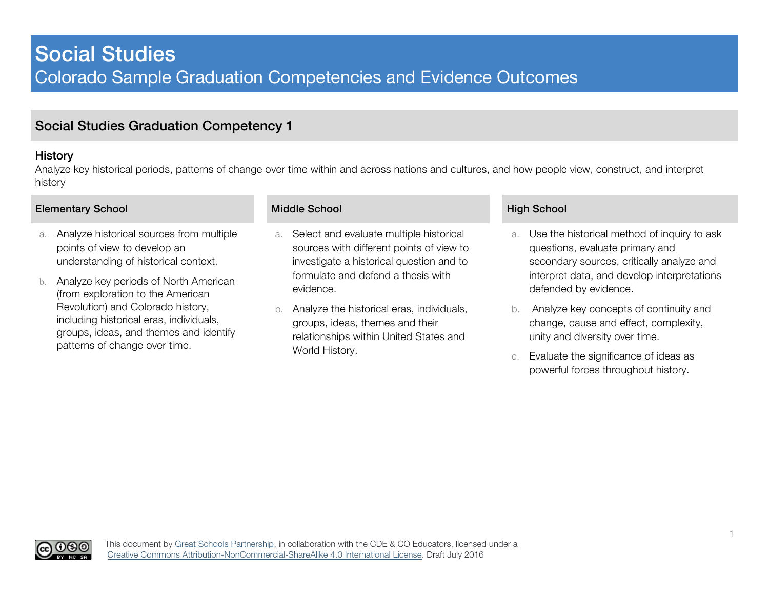### History

Analyze key historical periods, patterns of change over time within and across nations and cultures, and how people view, construct, and interpret history

### Elementary School **Elementary School** Middle School Middle School **High School** High School

(၂(၄)(၁

- a. Analyze historical sources from multiple points of view to develop an understanding of historical context.
- b. Analyze key periods of North American (from exploration to the American Revolution) and Colorado history, including historical eras, individuals, groups, ideas, and themes and identify patterns of change over time.

- a. Select and evaluate multiple historical sources with different points of view to investigate a historical question and to formulate and defend a thesis with evidence.
- b. Analyze the historical eras, individuals, groups, ideas, themes and their relationships within United States and World History.

- a. Use the historical method of inquiry to ask questions, evaluate primary and secondary sources, critically analyze and interpret data, and develop interpretations defended by evidence.
- b. Analyze key concepts of continuity and change, cause and effect, complexity, unity and diversity over time.
- c. Evaluate the significance of ideas as powerful forces throughout history.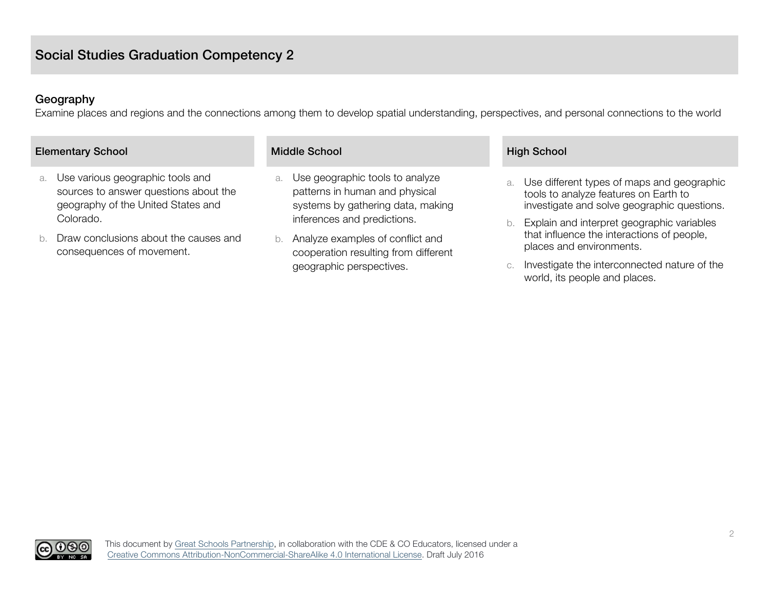### Geography

Examine places and regions and the connections among them to develop spatial understanding, perspectives, and personal connections to the world

| <b>Elementary School</b>                                                                                              | <b>Middle School</b>                                                                                         | <b>High School</b>                                                                                                                       |
|-----------------------------------------------------------------------------------------------------------------------|--------------------------------------------------------------------------------------------------------------|------------------------------------------------------------------------------------------------------------------------------------------|
| Use various geographic tools and<br>a.<br>sources to answer questions about the<br>geography of the United States and | Use geographic tools to analyze<br>a.<br>patterns in human and physical<br>systems by gathering data, making | Use different types of maps and geographic<br>a.<br>tools to analyze features on Earth to<br>investigate and solve geographic questions. |
| Colorado.                                                                                                             | inferences and predictions.                                                                                  | Explain and interpret geographic variables                                                                                               |
| Draw conclusions about the causes and<br>consequences of movement.                                                    | Analyze examples of conflict and<br>b.<br>cooperation resulting from different                               | that influence the interactions of people,<br>places and environments.                                                                   |
|                                                                                                                       | geographic perspectives.                                                                                     | Investigate the interconnected nature of the                                                                                             |

c. Investigate the interconnected nature of the world, its people and places.

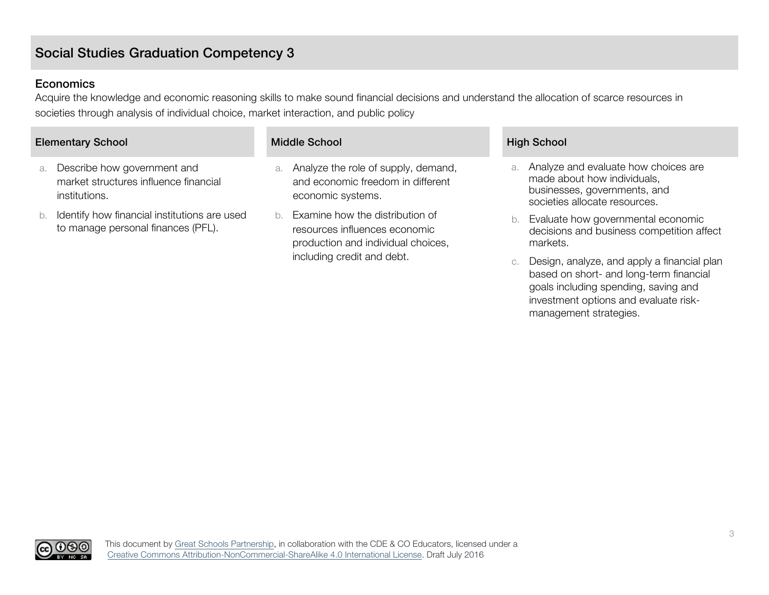### **Economics**

Acquire the knowledge and economic reasoning skills to make sound financial decisions and understand the allocation of scarce resources in societies through analysis of individual choice, market interaction, and public policy

### Elementary School Nicol Middle School Middle School High School

- a. Describe how government and market structures influence financial institutions.
- b. Identify how financial institutions are used to manage personal finances (PFL).

- a. Analyze the role of supply, demand, and economic freedom in different economic systems.
- b. Examine how the distribution of resources influences economic production and individual choices, including credit and debt.

- a. Analyze and evaluate how choices are made about how individuals, businesses, governments, and societies allocate resources.
- b. Evaluate how governmental economic decisions and business competition affect markets.
- c. Design, analyze, and apply a financial plan based on short- and long-term financial goals including spending, saving and investment options and evaluate riskmanagement strategies.